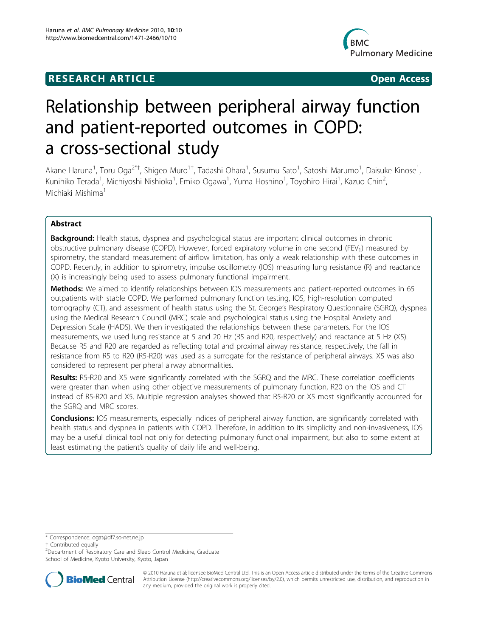# **RESEARCH ARTICLE Example 2018 CONSIDERING ACCESS**



# Relationship between peripheral airway function and patient-reported outcomes in COPD: a cross-sectional study

Akane Haruna<sup>1</sup>, Toru Oga<sup>2\*†</sup>, Shigeo Muro<sup>1†</sup>, Tadashi Ohara<sup>1</sup>, Susumu Sato<sup>1</sup>, Satoshi Marumo<sup>1</sup>, Daisuke Kinose<sup>1</sup> , Kunihiko Terada<sup>1</sup>, Michiyoshi Nishioka<sup>1</sup>, Emiko Ogawa<sup>1</sup>, Yuma Hoshino<sup>1</sup>, Toyohiro Hirai<sup>1</sup>, Kazuo Chin<sup>2</sup> , Michiaki Mishima<sup>1</sup>

# Abstract

Background: Health status, dyspnea and psychological status are important clinical outcomes in chronic obstructive pulmonary disease (COPD). However, forced expiratory volume in one second (FEV<sub>1</sub>) measured by spirometry, the standard measurement of airflow limitation, has only a weak relationship with these outcomes in COPD. Recently, in addition to spirometry, impulse oscillometry (IOS) measuring lung resistance (R) and reactance (X) is increasingly being used to assess pulmonary functional impairment.

Methods: We aimed to identify relationships between IOS measurements and patient-reported outcomes in 65 outpatients with stable COPD. We performed pulmonary function testing, IOS, high-resolution computed tomography (CT), and assessment of health status using the St. George's Respiratory Questionnaire (SGRQ), dyspnea using the Medical Research Council (MRC) scale and psychological status using the Hospital Anxiety and Depression Scale (HADS). We then investigated the relationships between these parameters. For the IOS measurements, we used lung resistance at 5 and 20 Hz (R5 and R20, respectively) and reactance at 5 Hz (X5). Because R5 and R20 are regarded as reflecting total and proximal airway resistance, respectively, the fall in resistance from R5 to R20 (R5-R20) was used as a surrogate for the resistance of peripheral airways. X5 was also considered to represent peripheral airway abnormalities.

Results: R5-R20 and X5 were significantly correlated with the SGRQ and the MRC. These correlation coefficients were greater than when using other objective measurements of pulmonary function, R20 on the IOS and CT instead of R5-R20 and X5. Multiple regression analyses showed that R5-R20 or X5 most significantly accounted for the SGRQ and MRC scores.

**Conclusions:** IOS measurements, especially indices of peripheral airway function, are significantly correlated with health status and dyspnea in patients with COPD. Therefore, in addition to its simplicity and non-invasiveness, IOS may be a useful clinical tool not only for detecting pulmonary functional impairment, but also to some extent at least estimating the patient's quality of daily life and well-being.

<sup>&</sup>lt;sup>2</sup>Department of Respiratory Care and Sleep Control Medicine, Graduate School of Medicine, Kyoto University, Kyoto, Japan



© 2010 Haruna et al; licensee BioMed Central Ltd. This is an Open Access article distributed under the terms of the Creative Commons Attribution License [\(http://creativecommons.org/licenses/by/2.0](http://creativecommons.org/licenses/by/2.0)), which permits unrestricted use, distribution, and reproduction in any medium, provided the original work is properly cited.

<sup>\*</sup> Correspondence: [ogat@df7.so-net.ne.jp](mailto:ogat@df7.so-net.ne.jp)

<sup>†</sup> Contributed equally <sup>2</sup>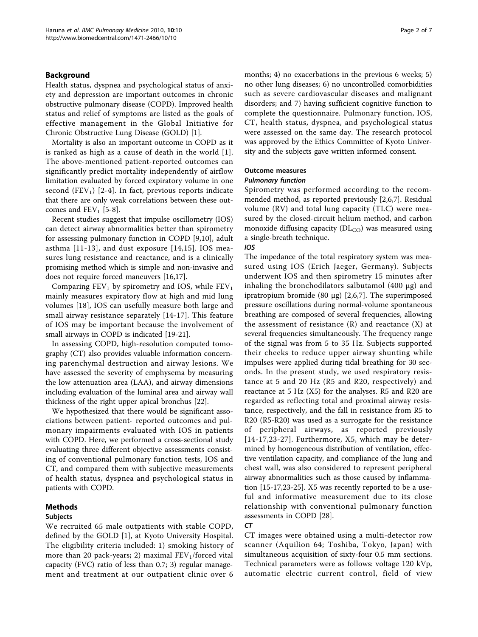## Background

Health status, dyspnea and psychological status of anxiety and depression are important outcomes in chronic obstructive pulmonary disease (COPD). Improved health status and relief of symptoms are listed as the goals of effective management in the Global Initiative for Chronic Obstructive Lung Disease (GOLD) [\[1](#page-5-0)].

Mortality is also an important outcome in COPD as it is ranked as high as a cause of death in the world [[1](#page-5-0)]. The above-mentioned patient-reported outcomes can significantly predict mortality independently of airflow limitation evaluated by forced expiratory volume in one second  $(FEV_1)$  [\[2-4](#page-5-0)]. In fact, previous reports indicate that there are only weak correlations between these outcomes and  $FEV_1$  [\[5](#page-5-0)-[8\]](#page-5-0).

Recent studies suggest that impulse oscillometry (IOS) can detect airway abnormalities better than spirometry for assessing pulmonary function in COPD [[9,10\]](#page-5-0), adult asthma [[11-13](#page-5-0)], and dust exposure [[14,15](#page-5-0)]. IOS measures lung resistance and reactance, and is a clinically promising method which is simple and non-invasive and does not require forced maneuvers [[16,17](#page-5-0)].

Comparing  $FEV_1$  by spirometry and IOS, while  $FEV_1$ mainly measures expiratory flow at high and mid lung volumes [[18](#page-5-0)], IOS can usefully measure both large and small airway resistance separately [\[14](#page-5-0)-[17](#page-5-0)]. This feature of IOS may be important because the involvement of small airways in COPD is indicated [[19-21\]](#page-5-0).

In assessing COPD, high-resolution computed tomography (CT) also provides valuable information concerning parenchymal destruction and airway lesions. We have assessed the severity of emphysema by measuring the low attenuation area (LAA), and airway dimensions including evaluation of the luminal area and airway wall thickness of the right upper apical bronchus [\[22\]](#page-5-0).

We hypothesized that there would be significant associations between patient- reported outcomes and pulmonary impairments evaluated with IOS in patients with COPD. Here, we performed a cross-sectional study evaluating three different objective assessments consisting of conventional pulmonary function tests, IOS and CT, and compared them with subjective measurements of health status, dyspnea and psychological status in patients with COPD.

## Methods

### Subjects

We recruited 65 male outpatients with stable COPD, defined by the GOLD [[1\]](#page-5-0), at Kyoto University Hospital. The eligibility criteria included: 1) smoking history of more than 20 pack-years; 2) maximal  $FEV<sub>1</sub>/forced$  vital capacity (FVC) ratio of less than 0.7; 3) regular management and treatment at our outpatient clinic over 6 months; 4) no exacerbations in the previous 6 weeks; 5) no other lung diseases; 6) no uncontrolled comorbidities such as severe cardiovascular diseases and malignant disorders; and 7) having sufficient cognitive function to complete the questionnaire. Pulmonary function, IOS, CT, health status, dyspnea, and psychological status were assessed on the same day. The research protocol was approved by the Ethics Committee of Kyoto University and the subjects gave written informed consent.

## Outcome measures

Spirometry was performed according to the recommended method, as reported previously [\[2,6](#page-5-0),[7](#page-5-0)]. Residual volume (RV) and total lung capacity (TLC) were measured by the closed-circuit helium method, and carbon monoxide diffusing capacity  $(DL_{CO})$  was measured using a single-breath technique.

### $105$

The impedance of the total respiratory system was measured using IOS (Erich Jaeger, Germany). Subjects underwent IOS and then spirometry 15 minutes after inhaling the bronchodilators salbutamol (400 μg) and ipratropium bromide (80 μg) [[2,6,7](#page-5-0)]. The superimposed pressure oscillations during normal-volume spontaneous breathing are composed of several frequencies, allowing the assessment of resistance  $(R)$  and reactance  $(X)$  at several frequencies simultaneously. The frequency range of the signal was from 5 to 35 Hz. Subjects supported their cheeks to reduce upper airway shunting while impulses were applied during tidal breathing for 30 seconds. In the present study, we used respiratory resistance at 5 and 20 Hz (R5 and R20, respectively) and reactance at 5 Hz (X5) for the analyses. R5 and R20 are regarded as reflecting total and proximal airway resistance, respectively, and the fall in resistance from R5 to R20 (R5-R20) was used as a surrogate for the resistance of peripheral airways, as reported previously [[14-17,23-](#page-5-0)[27\]](#page-6-0). Furthermore, X5, which may be determined by homogeneous distribution of ventilation, effective ventilation capacity, and compliance of the lung and chest wall, was also considered to represent peripheral airway abnormalities such as those caused by inflammation [\[15-17,23](#page-5-0)-[25\]](#page-5-0). X5 was recently reported to be a useful and informative measurement due to its close relationship with conventional pulmonary function assessments in COPD [\[28\]](#page-6-0).

CT CT images were obtained using a multi-detector row scanner (Aquilion 64; Toshiba, Tokyo, Japan) with simultaneous acquisition of sixty-four 0.5 mm sections. Technical parameters were as follows: voltage 120 kVp, automatic electric current control, field of view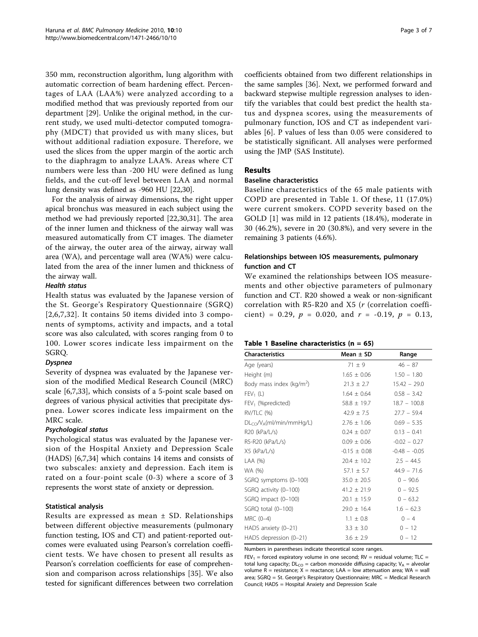350 mm, reconstruction algorithm, lung algorithm with automatic correction of beam hardening effect. Percentages of LAA (LAA%) were analyzed according to a modified method that was previously reported from our department [\[29](#page-6-0)]. Unlike the original method, in the current study, we used multi-detector computed tomography (MDCT) that provided us with many slices, but without additional radiation exposure. Therefore, we used the slices from the upper margin of the aortic arch to the diaphragm to analyze LAA%. Areas where CT numbers were less than -200 HU were defined as lung fields, and the cut-off level between LAA and normal lung density was defined as -960 HU [\[22,](#page-5-0)[30\]](#page-6-0).

For the analysis of airway dimensions, the right upper apical bronchus was measured in each subject using the method we had previously reported [\[22](#page-5-0)[,30,31](#page-6-0)]. The area of the inner lumen and thickness of the airway wall was measured automatically from CT images. The diameter of the airway, the outer area of the airway, airway wall area (WA), and percentage wall area (WA%) were calculated from the area of the inner lumen and thickness of the airway wall.

Health status Health status was evaluated by the Japanese version of the St. George's Respiratory Questionnaire (SGRQ) [[2](#page-5-0),[6,7](#page-5-0),[32](#page-6-0)]. It contains 50 items divided into 3 components of symptoms, activity and impacts, and a total score was also calculated, with scores ranging from 0 to 100. Lower scores indicate less impairment on the SGRQ.

-<br>Severity of dyspnea was evaluated by the Japanese version of the modified Medical Research Council (MRC) scale [[6,7,](#page-5-0)[33\]](#page-6-0), which consists of a 5-point scale based on degrees of various physical activities that precipitate dyspnea. Lower scores indicate less impairment on the MRC scale.

Psychological status Psychological status was evaluated by the Japanese version of the Hospital Anxiety and Depression Scale (HADS) [[6,7,](#page-5-0)[34\]](#page-6-0) which contains 14 items and consists of two subscales: anxiety and depression. Each item is rated on a four-point scale (0-3) where a score of 3 represents the worst state of anxiety or depression.

# Statistical analysis

Results are expressed as mean ± SD. Relationships between different objective measurements (pulmonary function testing, IOS and CT) and patient-reported outcomes were evaluated using Pearson's correlation coefficient tests. We have chosen to present all results as Pearson's correlation coefficients for ease of comprehension and comparison across relationships [[35\]](#page-6-0). We also tested for significant differences between two correlation coefficients obtained from two different relationships in the same samples [[36\]](#page-6-0). Next, we performed forward and backward stepwise multiple regression analyses to identify the variables that could best predict the health status and dyspnea scores, using the measurements of pulmonary function, IOS and CT as independent variables [\[6](#page-5-0)]. P values of less than 0.05 were considered to be statistically significant. All analyses were performed using the JMP (SAS Institute).

# Results

# Baseline characteristics

Baseline characteristics of the 65 male patients with COPD are presented in Table 1. Of these, 11 (17.0%) were current smokers. COPD severity based on the GOLD [\[1](#page-5-0)] was mild in 12 patients (18.4%), moderate in 30 (46.2%), severe in 20 (30.8%), and very severe in the remaining 3 patients (4.6%).

# Relationships between IOS measurements, pulmonary function and CT

We examined the relationships between IOS measurements and other objective parameters of pulmonary function and CT. R20 showed a weak or non-significant correlation with R5-R20 and X5 (r (correlation coefficient) = 0.29,  $p = 0.020$ , and  $r = -0.19$ ,  $p = 0.13$ ,

# Table 1 Baseline characteristics ( $n = 65$ )

| <b>Characteristics</b>               | Mean $\pm$ SD    | Range          |  |  |
|--------------------------------------|------------------|----------------|--|--|
| Age (years)                          | $71 \pm 9$       | $46 - 87$      |  |  |
| Height (m)                           | $1.65 \pm 0.06$  | $1.50 - 1.80$  |  |  |
| Body mass index (kg/m <sup>2</sup> ) | $21.3 \pm 2.7$   | $15.42 - 29.0$ |  |  |
| $FEV_1(L)$                           | $1.64 \pm 0.64$  | $0.58 - 3.42$  |  |  |
| FEV <sub>1</sub> (%predicted)        | $58.8 \pm 19.7$  | $18.7 - 100.8$ |  |  |
| RV/TLC (%)                           | $42.9 \pm 7.5$   | $27.7 - 59.4$  |  |  |
| $DLCO/VA(ml/min/mm Hq/L)$            | $2.76 \pm 1.06$  | $0.69 - 5.35$  |  |  |
| R20 (kPa/L/s)                        | $0.24 \pm 0.07$  | $0.13 - 0.41$  |  |  |
| R5-R20 (kPa/L/s)                     | $0.09 \pm 0.06$  | $-0.02 - 0.27$ |  |  |
| X5 (kPa/L/s)                         | $-0.15 \pm 0.08$ | $-0.48 - 0.05$ |  |  |
| LAA (%)                              | $20.4 \pm 10.2$  | $2.5 - 44.5$   |  |  |
| WA (%)                               | $57.1 \pm 5.7$   | $44.9 - 71.6$  |  |  |
| SGRQ symptoms (0-100)                | $35.0 \pm 20.5$  | $0 - 90.6$     |  |  |
| SGRQ activity (0-100)                | $41.2 \pm 21.9$  | $0 - 92.5$     |  |  |
| SGRQ impact (0-100)                  | $20.1 \pm 15.9$  | $0 - 63.2$     |  |  |
| SGRQ total (0-100)                   | $29.0 \pm 16.4$  | $1.6 - 62.3$   |  |  |
| MRC (0-4)                            | $1.1 \pm 0.8$    | $0 - 4$        |  |  |
| HADS anxiety (0-21)                  | $3.3 \pm 3.0$    | $0 - 12$       |  |  |
| HADS depression (0-21)               | $3.6 \pm 2.9$    | $0 - 12$       |  |  |

Numbers in parentheses indicate theoretical score ranges.

 $FEV_1$  = forced expiratory volume in one second: RV = residual volume: TLC = total lung capacity;  $DL_{CO}$  = carbon monoxide diffusing capacity;  $V_A$  = alveolar volume  $R =$  resistance;  $X =$  reactance; LAA = low attenuation area; WA = wall area; SGRQ = St. George's Respiratory Questionnaire; MRC = Medical Research Council; HADS = Hospital Anxiety and Depression Scale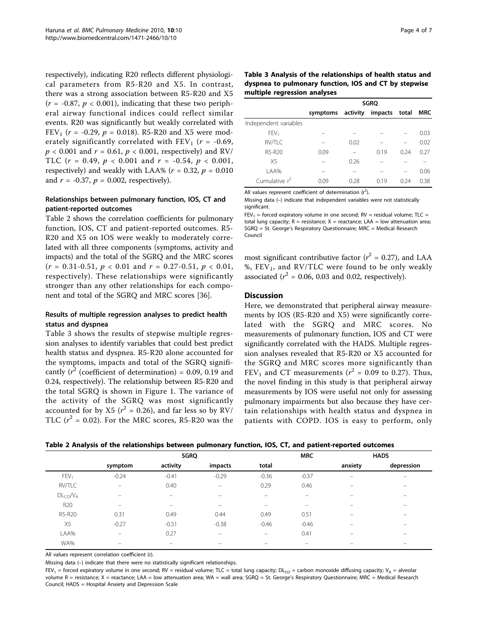<span id="page-3-0"></span>respectively), indicating R20 reflects different physiological parameters from R5-R20 and X5. In contrast, there was a strong association between R5-R20 and X5  $(r = -0.87, p < 0.001)$ , indicating that these two peripheral airway functional indices could reflect similar events. R20 was significantly but weakly correlated with FEV<sub>1</sub> ( $r = -0.29$ ,  $p = 0.018$ ). R5-R20 and X5 were moderately significantly correlated with  $FEV_1$  ( $r = -0.69$ ,  $p < 0.001$  and  $r = 0.61$ ,  $p < 0.001$ , respectively) and RV/ TLC ( $r = 0.49$ ,  $p < 0.001$  and  $r = -0.54$ ,  $p < 0.001$ , respectively) and weakly with LAA% ( $r = 0.32$ ,  $p = 0.010$ and  $r = -0.37$ ,  $p = 0.002$ , respectively).

# Relationships between pulmonary function, IOS, CT and patient-reported outcomes

Table 2 shows the correlation coefficients for pulmonary function, IOS, CT and patient-reported outcomes. R5- R20 and X5 on IOS were weakly to moderately correlated with all three components (symptoms, activity and impacts) and the total of the SGRQ and the MRC scores  $(r = 0.31 - 0.51, p < 0.01$  and  $r = 0.27 - 0.51, p < 0.01$ , respectively). These relationships were significantly stronger than any other relationships for each component and total of the SGRQ and MRC scores [[36\]](#page-6-0).

# Results of multiple regression analyses to predict health status and dyspnea

Table 3 shows the results of stepwise multiple regression analyses to identify variables that could best predict health status and dyspnea. R5-R20 alone accounted for the symptoms, impacts and total of the SGRQ significantly ( $r^2$  (coefficient of determination) = 0.09, 0.19 and 0.24, respectively). The relationship between R5-R20 and the total SGRQ is shown in Figure [1.](#page-4-0) The variance of the activity of the SGRQ was most significantly accounted for by X5 ( $r^2$  = 0.26), and far less so by RV/ TLC  $(r^2 = 0.02)$ . For the MRC scores, R5-R20 was the

| Table 3 Analysis of the relationships of health status and |
|------------------------------------------------------------|
| dyspnea to pulmonary function, IOS and CT by stepwise      |
| multiple regression analyses                               |

|                       | <b>SGRQ</b> |          |               |      |            |
|-----------------------|-------------|----------|---------------|------|------------|
|                       | symptoms    | activity | impacts total |      | <b>MRC</b> |
| Independent variables |             |          |               |      |            |
| FEV <sub>1</sub>      |             |          |               |      | 0.03       |
| <b>RV/TLC</b>         |             | 0.02     |               |      | 0.02       |
| R5-R20                | 0.09        |          | 0.19          | 0.24 | 0.27       |
| X <sub>5</sub>        |             | 0.26     |               |      |            |
| LAA%                  |             |          |               |      | 0.06       |
| Cumulative $r^2$      | 0.09        | 0.28     | 0.19          | 0.24 | 0.38       |

All values represent coefficient of determination  $(r^2)$ .

Missing data (–) indicate that independent variables were not statistically significant.

 $FEV_1 =$  forced expiratory volume in one second; RV = residual volume; TLC = total lung capacity;  $R =$  resistance;  $X =$  reactance; LAA = low attenuation area; SGRQ = St. George's Respiratory Questionnaire; MRC = Medical Research Council

most significant contributive factor ( $r^2 = 0.27$ ), and LAA %,  $FEV<sub>1</sub>$ , and RV/TLC were found to be only weakly associated ( $r^2$  = 0.06, 0.03 and 0.02, respectively).

## Discussion

Here, we demonstrated that peripheral airway measurements by IOS (R5-R20 and X5) were significantly correlated with the SGRQ and MRC scores. No measurements of pulmonary function, IOS and CT were significantly correlated with the HADS. Multiple regression analyses revealed that R5-R20 or X5 accounted for the SGRQ and MRC scores more significantly than FEV<sub>1</sub> and CT measurements ( $r^2$  = 0.09 to 0.27). Thus, the novel finding in this study is that peripheral airway measurements by IOS were useful not only for assessing pulmonary impairments but also because they have certain relationships with health status and dyspnea in patients with COPD. IOS is easy to perform, only

| Table 2 Analysis of the relationships between pulmonary function, IOS, CT, and patient-reported outcomes |  |  |  |  |
|----------------------------------------------------------------------------------------------------------|--|--|--|--|
|----------------------------------------------------------------------------------------------------------|--|--|--|--|

|                  |                          | <b>SGRQ</b> |          |                            | <b>MRC</b>               | <b>HADS</b>              |                          |
|------------------|--------------------------|-------------|----------|----------------------------|--------------------------|--------------------------|--------------------------|
|                  | symptom                  | activity    | impacts  | total                      |                          | anxiety                  | depression               |
| FEV <sub>1</sub> | $-0.24$                  | $-0.41$     | $-0.29$  | $-0.36$                    | $-0.37$                  | $\overline{\phantom{0}}$ | $\overline{\phantom{0}}$ |
| RV/TLC           | $\equiv$                 | 0.40        | $\equiv$ | 0.29                       | 0.46                     | -                        |                          |
| $DL_{CO}/V_A$    |                          |             |          |                            |                          |                          |                          |
| R <sub>20</sub>  | $\overline{\phantom{0}}$ | -           | -        | $\overline{\phantom{0}}$   | $\overline{\phantom{0}}$ | –                        |                          |
| R5-R20           | 0.31                     | 0.49        | 0.44     | 0.49                       | 0.51                     |                          |                          |
| X <sub>5</sub>   | $-0.27$                  | $-0.51$     | $-0.38$  | $-0.46$                    | $-0.46$                  |                          |                          |
| LAA%             | -                        | 0.27        | $-$      | $\qquad \qquad \  \  \, -$ | 0.41                     | –                        | $\overline{\phantom{0}}$ |
| WA%              |                          | -           |          |                            |                          |                          |                          |

All values represent correlation coefficient (r).

Missing data (–) indicate that there were no statistically significant relationships.

 $FEV_1$  = forced expiratory volume in one second; RV = residual volume; TLC = total lung capacity; DL<sub>CO</sub> = carbon monoxide diffusing capacity; V<sub>A</sub> = alveolar volume R = resistance; X = reactance; LAA = low attenuation area; WA = wall area; SGRQ = St. George's Respiratory Questionnaire; MRC = Medical Research Council; HADS = Hospital Anxiety and Depression Scale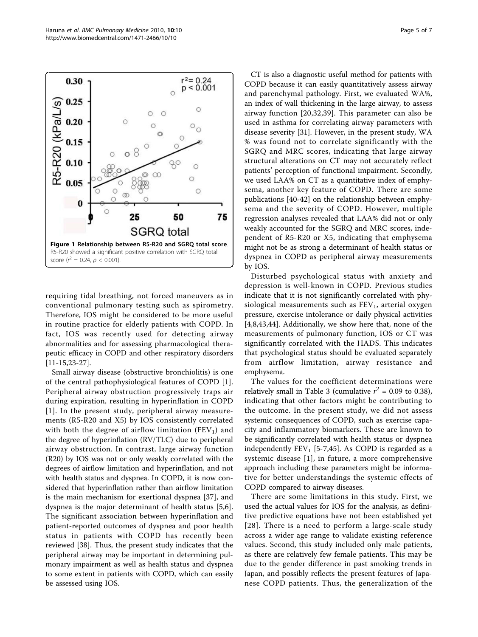<span id="page-4-0"></span>

requiring tidal breathing, not forced maneuvers as in conventional pulmonary testing such as spirometry. Therefore, IOS might be considered to be more useful in routine practice for elderly patients with COPD. In fact, IOS was recently used for detecting airway abnormalities and for assessing pharmacological therapeutic efficacy in COPD and other respiratory disorders [[11-15,23](#page-5-0)[-27](#page-6-0)].

Small airway disease (obstructive bronchiolitis) is one of the central pathophysiological features of COPD [[1](#page-5-0)]. Peripheral airway obstruction progressively traps air during expiration, resulting in hyperinflation in COPD [[1](#page-5-0)]. In the present study, peripheral airway measurements (R5-R20 and X5) by IOS consistently correlated with both the degree of airflow limitation ( $FEV<sub>1</sub>$ ) and the degree of hyperinflation (RV/TLC) due to peripheral airway obstruction. In contrast, large airway function (R20) by IOS was not or only weakly correlated with the degrees of airflow limitation and hyperinflation, and not with health status and dyspnea. In COPD, it is now considered that hyperinflation rather than airflow limitation is the main mechanism for exertional dyspnea [[37\]](#page-6-0), and dyspnea is the major determinant of health status [[5,6](#page-5-0)]. The significant association between hyperinflation and patient-reported outcomes of dyspnea and poor health status in patients with COPD has recently been reviewed [\[38\]](#page-6-0). Thus, the present study indicates that the peripheral airway may be important in determining pulmonary impairment as well as health status and dyspnea to some extent in patients with COPD, which can easily be assessed using IOS.

CT is also a diagnostic useful method for patients with COPD because it can easily quantitatively assess airway and parenchymal pathology. First, we evaluated WA%, an index of wall thickening in the large airway, to assess airway function [[20](#page-5-0)[,32](#page-6-0),[39\]](#page-6-0). This parameter can also be used in asthma for correlating airway parameters with disease severity [[31](#page-6-0)]. However, in the present study, WA % was found not to correlate significantly with the SGRQ and MRC scores, indicating that large airway structural alterations on CT may not accurately reflect patients' perception of functional impairment. Secondly, we used LAA% on CT as a quantitative index of emphysema, another key feature of COPD. There are some publications [\[40](#page-6-0)-[42\]](#page-6-0) on the relationship between emphysema and the severity of COPD. However, multiple regression analyses revealed that LAA% did not or only weakly accounted for the SGRQ and MRC scores, independent of R5-R20 or X5, indicating that emphysema might not be as strong a determinant of health status or dyspnea in COPD as peripheral airway measurements by IOS.

Disturbed psychological status with anxiety and depression is well-known in COPD. Previous studies indicate that it is not significantly correlated with physiological measurements such as  $FEV<sub>1</sub>$ , arterial oxygen pressure, exercise intolerance or daily physical activities [[4,8,](#page-5-0)[43,44\]](#page-6-0). Additionally, we show here that, none of the measurements of pulmonary function, IOS or CT was significantly correlated with the HADS. This indicates that psychological status should be evaluated separately from airflow limitation, airway resistance and emphysema.

The values for the coefficient determinations were relatively small in Table [3](#page-3-0) (cumulative  $r^2 = 0.09$  to 0.38), indicating that other factors might be contributing to the outcome. In the present study, we did not assess systemic consequences of COPD, such as exercise capacity and inflammatory biomarkers. These are known to be significantly correlated with health status or dyspnea independently  $FEV<sub>1</sub>$  [\[5](#page-5-0)-[7,](#page-5-0)[45\]](#page-6-0). As COPD is regarded as a systemic disease [[1](#page-5-0)], in future, a more comprehensive approach including these parameters might be informative for better understandings the systemic effects of COPD compared to airway diseases.

There are some limitations in this study. First, we used the actual values for IOS for the analysis, as definitive predictive equations have not been established yet [[28\]](#page-6-0). There is a need to perform a large-scale study across a wider age range to validate existing reference values. Second, this study included only male patients, as there are relatively few female patients. This may be due to the gender difference in past smoking trends in Japan, and possibly reflects the present features of Japanese COPD patients. Thus, the generalization of the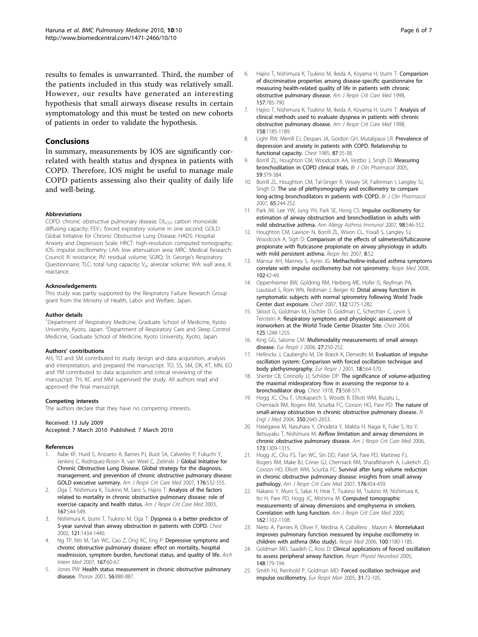<span id="page-5-0"></span>results to females is unwarranted. Third, the number of the patients included in this study was relatively small. However, our results have generated an interesting hypothesis that small airways disease results in certain symptomatology and this must be tested on new cohorts of patients in order to validate the hypothesis.

## Conclusions

In summary, measurements by IOS are significantly correlated with health status and dyspnea in patients with COPD. Therefore, IOS might be useful to manage male COPD patients assessing also their quality of daily life and well-being.

#### Abbreviations

COPD: chronic obstructive pulmonary disease;  $DL<sub>CO</sub>$ : carbon monoxide diffusing capacity; FEV<sub>1</sub>: forced expiratory volume in one second; GOLD: Global Initiative for Chronic Obstructive Lung Disease; HADS: Hospital Anxiety and Depression Scale; HRCT: high-resolution computed tomography; IOS: impulse oscillometry; LAA: low attenuation area; MRC: Medical Research Council; R: resistance; RV: residual volume; SGRQ: St. George's Respiratory Questionnaire; TLC: total lung capacity; VA: alveolar volume; WA: wall area; X: reactance.

#### Acknowledgements

This study was partly supported by the Respiratory Failure Research Group grant from the Ministry of Health, Labor and Welfare, Japan.

#### Author details

<sup>1</sup>Department of Respiratory Medicine, Graduate School of Medicine, Kyoto University, Kyoto, Japan. <sup>2</sup>Department of Respiratory Care and Sleep Control Medicine, Graduate School of Medicine, Kyoto University, Kyoto, Japan.

#### Authors' contributions

AH, TO and SM contributed to study design and data acquisition, analysis and interpretation, and prepared the manuscript. TO, SS, SM, DK, KT, MN, EO and YM contributed to data acquisition and critical reviewing of the manuscript. TH, KC and MM supervised the study. All authors read and approved the final manuscript.

#### Competing interests

The authors declare that they have no competing interests.

#### Received: 13 July 2009 Accepted: 7 March 2010 Published: 7 March 2010

#### References

- Rabe KF, Hurd S, Anzueto A, Barnes PJ, Buist SA, Calverley P, Fukuchi Y, Jenkins C, Rodriguez-Roisin R, van Weel C, Zielinski J: [Global Initiative for](http://www.ncbi.nlm.nih.gov/pubmed/17507545?dopt=Abstract) [Chronic Obstructive Lung Disease. Global strategy for the diagnosis,](http://www.ncbi.nlm.nih.gov/pubmed/17507545?dopt=Abstract) [management, and prevention of chronic obstructive pulmonary disease:](http://www.ncbi.nlm.nih.gov/pubmed/17507545?dopt=Abstract) [GOLD executive summary.](http://www.ncbi.nlm.nih.gov/pubmed/17507545?dopt=Abstract) Am J Respir Crit Care Med 2007, 176:532-555.
- 2. Oga T, Nishimura K, Tsukino M, Saro S, Hajiro T: [Analysis of the factors](http://www.ncbi.nlm.nih.gov/pubmed/12446268?dopt=Abstract) [related to mortality in chronic obstructive pulmonary disease: role of](http://www.ncbi.nlm.nih.gov/pubmed/12446268?dopt=Abstract) [exercise capacity and health status.](http://www.ncbi.nlm.nih.gov/pubmed/12446268?dopt=Abstract) Am J Respir Crit Care Med 2003, 167:544-549.
- 3. Nishimura K, Izumi T, Tsukino M, Oga T: [Dyspnea is a better predictor of](http://www.ncbi.nlm.nih.gov/pubmed/12006425?dopt=Abstract) [5-year survival than airway obstruction in patients with COPD.](http://www.ncbi.nlm.nih.gov/pubmed/12006425?dopt=Abstract) Chest 2002, 121:1434-1440.
- 4. Ng TP, Niti M, Tan WC, Cao Z, Ong KC, Eng P: [Depressive symptoms and](http://www.ncbi.nlm.nih.gov/pubmed/17210879?dopt=Abstract) [chronic obstructive pulmonary disease: effect on mortality, hospital](http://www.ncbi.nlm.nih.gov/pubmed/17210879?dopt=Abstract) [readmission, symptom burden, functional status, and quality of life.](http://www.ncbi.nlm.nih.gov/pubmed/17210879?dopt=Abstract) Arch Intern Med 2007, 167:60-67.
- Jones PW: [Health status measurement in chronic obstructive pulmonary](http://www.ncbi.nlm.nih.gov/pubmed/11641515?dopt=Abstract) [disease.](http://www.ncbi.nlm.nih.gov/pubmed/11641515?dopt=Abstract) Thorax 2001, 56:880-887.
- 6. Hajiro T, Nishimura K, Tsukino M, Ikeda A, Koyama H, Izumi T: [Comparison](http://www.ncbi.nlm.nih.gov/pubmed/9517591?dopt=Abstract) [of discriminative properties among disease-specific questionnaire for](http://www.ncbi.nlm.nih.gov/pubmed/9517591?dopt=Abstract) [measuring health-related quality of life in patients with chronic](http://www.ncbi.nlm.nih.gov/pubmed/9517591?dopt=Abstract) [obstructive pulmonary disease.](http://www.ncbi.nlm.nih.gov/pubmed/9517591?dopt=Abstract) Am J Respir Crit Care Med 1998, 157:785-790.
- 7. Hajiro T, Nishimura K, Tsukino M, Ikeda A, Koyama H, Izumi T: [Analysis of](http://www.ncbi.nlm.nih.gov/pubmed/9769280?dopt=Abstract) [clinical methods used to evaluate dyspnea in patients with chronic](http://www.ncbi.nlm.nih.gov/pubmed/9769280?dopt=Abstract) [obstructive pulmonary disease.](http://www.ncbi.nlm.nih.gov/pubmed/9769280?dopt=Abstract) Am J Respir Crit Care Med 1998, 158:1185-1189.
- 8. Light RW, Merrill EJ, Despars JA, Gordon GH, Mutalipassi LR: [Prevalence of](http://www.ncbi.nlm.nih.gov/pubmed/3965263?dopt=Abstract) [depression and anxiety in patients with COPD. Relationship to](http://www.ncbi.nlm.nih.gov/pubmed/3965263?dopt=Abstract) [functional capacity.](http://www.ncbi.nlm.nih.gov/pubmed/3965263?dopt=Abstract) Chest 1985, 87:35-38.
- 9. Borrill ZL, Houghton CM, Woodcock AA, Vestbo J, Singh D: [Measuring](http://www.ncbi.nlm.nih.gov/pubmed/15801931?dopt=Abstract) [bronchodilation in COPD clinical trials.](http://www.ncbi.nlm.nih.gov/pubmed/15801931?dopt=Abstract) Br J Clin Pharmacol 2005, 59:379-384.
- 10. Borrill ZL, Houghton CM, Tal-Singer R, Vessey SR, Faiferman I, Langley SJ, Singh D: The use of plethysmography and oscillometry to compare long-acting bronchodilators in patients with COPD. Br J Clin Pharmacol 2007, 65:244-252.
- 11. Park JW, Lee YW, Jung YH, Park SE, Hong CS: [Impulse oscillometry for](http://www.ncbi.nlm.nih.gov/pubmed/17601267?dopt=Abstract) [estimation of airway obstruction and bronchodilation in adults with](http://www.ncbi.nlm.nih.gov/pubmed/17601267?dopt=Abstract) [mild obstructive asthma.](http://www.ncbi.nlm.nih.gov/pubmed/17601267?dopt=Abstract) Ann Allergy Asthma Immunol 2007, 98:546-552.
- 12. Houghton CM, Lawson N, Borrill ZL, Wixon CL, Yoxall S, Langley SJ, Woodcock A, Sigh D: [Comparison of the effects of salmeterol/fulticasone](http://www.ncbi.nlm.nih.gov/pubmed/17629923?dopt=Abstract) [propionate with fluticasone propionate on airway physiology in adults](http://www.ncbi.nlm.nih.gov/pubmed/17629923?dopt=Abstract) [with mild persistent asthma.](http://www.ncbi.nlm.nih.gov/pubmed/17629923?dopt=Abstract) Respir Res 2007, 8:52.
- 13. Mansur AH, Manney S, Ayres JG: [Methacholine-induced asthma symptoms](http://www.ncbi.nlm.nih.gov/pubmed/17900886?dopt=Abstract) [correlate with impulse oscillometry but not spirometry.](http://www.ncbi.nlm.nih.gov/pubmed/17900886?dopt=Abstract) Respir Med 2008, 102:42-49.
- 14. Oppenheimer BW, Goldring RM, Herberg ME, Hofer IS, Reyfman PA, Liautaud S, Rom WN, Reibman J, Berger KI: [Distal airway function in](http://www.ncbi.nlm.nih.gov/pubmed/17890470?dopt=Abstract) [symptomatic subjects with normal spirometry following World Trade](http://www.ncbi.nlm.nih.gov/pubmed/17890470?dopt=Abstract) [Center dust exposure.](http://www.ncbi.nlm.nih.gov/pubmed/17890470?dopt=Abstract) Chest 2007, 132:1275-1282.
- 15. Skloot G, Goldman M, Fischler D, Goldman C, Schechter C, Levin S, Teirstein A: [Respiratory symptoms and physiologic assessment of](http://www.ncbi.nlm.nih.gov/pubmed/15078731?dopt=Abstract) [ironworkers at the World Trade Center Disaster Site.](http://www.ncbi.nlm.nih.gov/pubmed/15078731?dopt=Abstract) Chest 2004, 125:1248-1255.
- 16. King GG, Salome CM: [Multimodality measurements of small airways](http://www.ncbi.nlm.nih.gov/pubmed/16452576?dopt=Abstract) [disease.](http://www.ncbi.nlm.nih.gov/pubmed/16452576?dopt=Abstract) Eur Respir J 2006, 27:250-252.
- 17. Hellinckx J, Cauberghs M, De Boeck K, Demedts M: [Evaluation of impulse](http://www.ncbi.nlm.nih.gov/pubmed/11589356?dopt=Abstract) [oscillation system: Comparison with forced oscillation technique and](http://www.ncbi.nlm.nih.gov/pubmed/11589356?dopt=Abstract) [body plethysmography.](http://www.ncbi.nlm.nih.gov/pubmed/11589356?dopt=Abstract) Eur Respir J 2001, 18:564-570.
- 18. Sherter CB, Connolly JJ, Schilder DP: [The significance of volume-adjusting](http://www.ncbi.nlm.nih.gov/pubmed/648206?dopt=Abstract) [the maximal midexpiratory flow in assessing the response to a](http://www.ncbi.nlm.nih.gov/pubmed/648206?dopt=Abstract) [bronchodilator drug.](http://www.ncbi.nlm.nih.gov/pubmed/648206?dopt=Abstract) Chest 1978, 73:568-571.
- 19. Hogg JC, Chu F, Utokaparch S, Woods R, Elliott WM, Buzatu L, Cherniack RM, Rogers RM, Sciurba FC, Coxson HO, Pare PD: [The nature of](http://www.ncbi.nlm.nih.gov/pubmed/15215480?dopt=Abstract) [small-airway obstruction in chronic obstructive pulmonary disease.](http://www.ncbi.nlm.nih.gov/pubmed/15215480?dopt=Abstract) N Engl J Med 2004, 350:2645-2653.
- 20. Hasegawa M, Nasuhara Y, Onodera Y, Makita H, Nagai K, Fuke S, Ito Y, Betsuyaku T, Nishimura M: [Airflow limitation and airway dimensions in](http://www.ncbi.nlm.nih.gov/pubmed/16556695?dopt=Abstract) [chronic obstructive pulmonary disease.](http://www.ncbi.nlm.nih.gov/pubmed/16556695?dopt=Abstract) Am J Respir Crit Care Med 2006, 173:1309-1315.
- 21. Hogg JC, Chu FS, Tan WC, Sin DD, Patel SA, Pare PD, Martinez FJ, Rogers RM, Make BJ, Criner GJ, Cherniack RM, Sharafkhaneh A, Luketich JD, Coxson HO, Elliott WM, Sciurba FC: [Survival after lung volume reduction](http://www.ncbi.nlm.nih.gov/pubmed/17556723?dopt=Abstract) [in chronic obstructive pulmonary disease: insights from small airway](http://www.ncbi.nlm.nih.gov/pubmed/17556723?dopt=Abstract) [pathology.](http://www.ncbi.nlm.nih.gov/pubmed/17556723?dopt=Abstract) Am J Respir Crit Care Med 2007, 176:454-459.
- 22. Nakano Y, Muro S, Sakai H, Hirai T, Tsukino M, Tsukino M, Nishimura K, Ito H, Pare PD, Hogg JC, Mishima M: [Computed tomographic](http://www.ncbi.nlm.nih.gov/pubmed/10988137?dopt=Abstract) [measurements of airway dimensions and emphysema in smokers.](http://www.ncbi.nlm.nih.gov/pubmed/10988137?dopt=Abstract) [Correlation with lung function.](http://www.ncbi.nlm.nih.gov/pubmed/10988137?dopt=Abstract) Am J Respir Crit Care Med 2000, 162:1102-1108.
- 23. Nieto A, Pamies R, Oliver F, Medina A, Caballero , Mazon A: [Montelukast](http://www.ncbi.nlm.nih.gov/pubmed/16330196?dopt=Abstract) [improves pulmonary function measured by impulse oscillometry in](http://www.ncbi.nlm.nih.gov/pubmed/16330196?dopt=Abstract) [children with asthma \(Mio study\).](http://www.ncbi.nlm.nih.gov/pubmed/16330196?dopt=Abstract) Respir Med 2006, 100:1180-1185.
- 24. Goldman MD, Saadeh C, Ross D: [Clinical applications of forced oscillation](http://www.ncbi.nlm.nih.gov/pubmed/15990365?dopt=Abstract) [to assess peripheral airway function.](http://www.ncbi.nlm.nih.gov/pubmed/15990365?dopt=Abstract) Respir Physiol Neurobiol 2005, 148:179-194.
- 25. Smith HJ, Reinhold P, Goldman MD: Forced oscillation technique and impulse oscillometry. Eur Respir Mon 2005, 31:72-105.